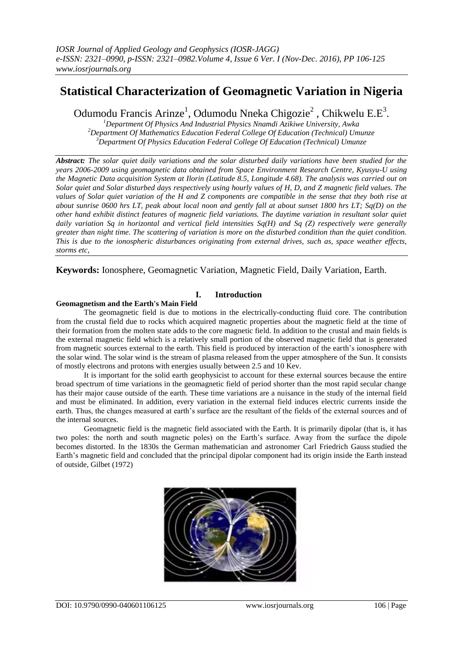# **Statistical Characterization of Geomagnetic Variation in Nigeria**

Odumodu Francis Arinze<sup>1</sup>, Odumodu Nneka Chigozie<sup>2</sup>, Chikwelu E.E<sup>3</sup>.

*<sup>1</sup>Department Of Physics And Industrial Physics Nnamdi Azikiwe University, Awka <sup>2</sup>Department Of Mathematics Education Federal College Of Education (Technical) Umunze <sup>3</sup>Department Of Physics Education Federal College Of Education (Technical) Umunze*

*Abstract: The solar quiet daily variations and the solar disturbed daily variations have been studied for the years 2006-2009 using geomagnetic data obtained from Space Environment Research Centre, Kyusyu-U using the Magnetic Data acquisition System at Ilorin (Latitude 8.5, Longitude 4.68). The analysis was carried out on Solar quiet and Solar disturbed days respectively using hourly values of H, D, and Z magnetic field values. The values of Solar quiet variation of the H and Z components are compatible in the sense that they both rise at about sunrise 0600 hrs LT, peak about local noon and gently fall at about sunset 1800 hrs LT; Sq(D) on the other hand exhibit distinct features of magnetic field variations. The daytime variation in resultant solar quiet daily variation Sq in horizontal and vertical field intensities Sq(H) and Sq (Z) respectively were generally greater than night time. The scattering of variation is more on the disturbed condition than the quiet condition. This is due to the ionospheric disturbances originating from external drives, such as, space weather effects, storms etc,*

**Keywords:** Ionosphere, Geomagnetic Variation, Magnetic Field, Daily Variation, Earth.

# **I. Introduction**

# **Geomagnetism and the Earth's Main Field**

The geomagnetic field is due to motions in the electrically-conducting fluid core. The contribution from the crustal field due to rocks which acquired magnetic properties about the magnetic field at the time of their formation from the molten state adds to the core magnetic field. In addition to the crustal and main fields is the external magnetic field which is a relatively small portion of the observed magnetic field that is generated from magnetic sources external to the earth. This field is produced by interaction of the earth's ionosphere with the solar wind. The solar wind is the stream of plasma released from the upper atmosphere of the Sun. It consists of mostly electrons and protons with energies usually between 2.5 and 10 Kev.

It is important for the solid earth geophysicist to account for these external sources because the entire broad spectrum of time variations in the geomagnetic field of period shorter than the most rapid secular change has their major cause outside of the earth. These time variations are a nuisance in the study of the internal field and must be eliminated. In addition, every variation in the external field induces electric currents inside the earth. Thus, the changes measured at earth's surface are the resultant of the fields of the external sources and of the internal sources.

Geomagnetic field is the magnetic field associated with the Earth. It is primarily dipolar (that is, it has two poles: the north and south magnetic poles) on the Earth's surface. Away from the surface the dipole becomes distorted. In the 1830s the German mathematician and astronomer Carl Friedrich Gauss studied the Earth's magnetic field and concluded that the principal dipolar component had its origin inside the Earth instead of outside, Gilbet (1972)

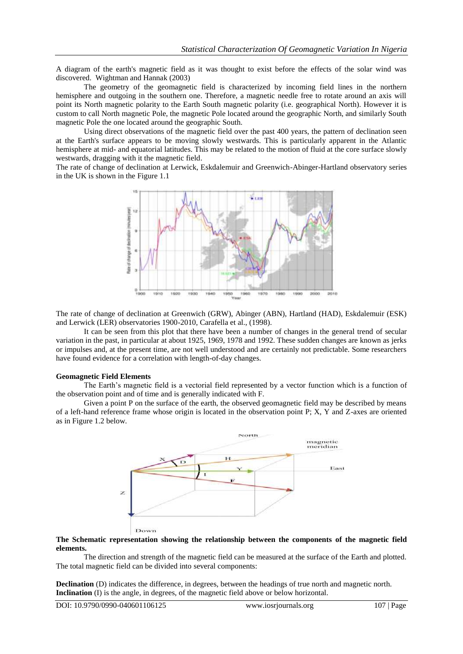A diagram of the earth's magnetic field as it was thought to exist before the effects of the solar wind was discovered. Wightman and Hannak (2003)

The geometry of the geomagnetic field is characterized by incoming field lines in the northern hemisphere and outgoing in the southern one. Therefore, a magnetic needle free to rotate around an axis will point its North magnetic polarity to the Earth South magnetic polarity (i.e. geographical North). However it is custom to call North magnetic Pole, the magnetic Pole located around the geographic North, and similarly South magnetic Pole the one located around the geographic South.

Using direct observations of the magnetic field over the past 400 years, the pattern of declination seen at the Earth's surface appears to be moving slowly westwards. This is particularly apparent in the Atlantic hemisphere at mid- and equatorial latitudes. This may be related to the motion of fluid at the core surface slowly westwards, dragging with it the magnetic field.

The rate of change of declination at Lerwick, Eskdalemuir and Greenwich-Abinger-Hartland observatory series in the UK is shown in the Figure 1.1



The rate of change of declination at Greenwich (GRW), Abinger (ABN), Hartland (HAD), Eskdalemuir (ESK) and Lerwick (LER) observatories 1900-2010, Carafella et al., (1998).

It can be seen from this plot that there have been a number of changes in the general trend of secular variation in the past, in particular at about 1925, 1969, 1978 and 1992. These sudden changes are known as jerks or impulses and, at the present time, are not well understood and are certainly not predictable. Some researchers have found evidence for a correlation with length-of-day changes.

#### **Geomagnetic Field Elements**

The Earth's magnetic field is a vectorial field represented by a vector function which is a function of the observation point and of time and is generally indicated with F.

Given a point P on the surface of the earth, the observed geomagnetic field may be described by means of a left-hand reference frame whose origin is located in the observation point P; X, Y and Z-axes are oriented as in Figure 1.2 below.



#### **The Schematic representation showing the relationship between the components of the magnetic field elements.**

The direction and strength of the magnetic field can be measured at the surface of the Earth and plotted. The total magnetic field can be divided into several components:

**Declination** (D) indicates the difference, in degrees, between the headings of true north and magnetic north. **Inclination** (I) is the angle, in degrees, of the magnetic field above or below horizontal.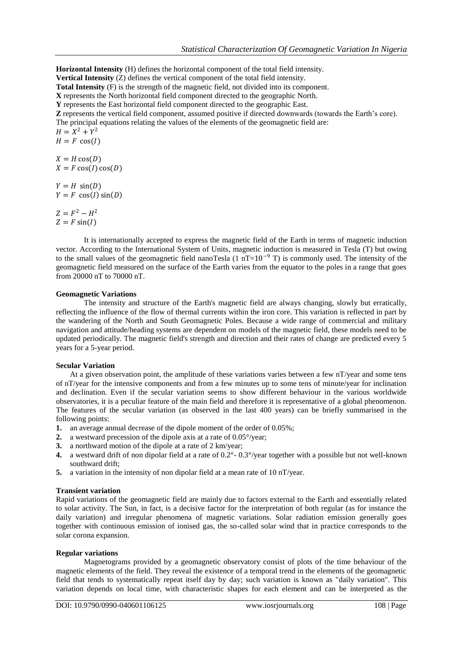**Horizontal Intensity** (H) defines the horizontal component of the total field intensity. **Vertical Intensity** (Z) defines the vertical component of the total field intensity. **Total Intensity** (F) is the strength of the magnetic field, not divided into its component. **X** represents the North horizontal field component directed to the geographic North. **Y** represents the East horizontal field component directed to the geographic East. **Z** represents the vertical field component, assumed positive if directed downwards (towards the Earth's core). The principal equations relating the values of the elements of the geomagnetic field are:  $H = X^2 + Y^2$  $H = F \cos(I)$  $X = H \cos(D)$  $X = F \cos(I) \cos(D)$  $Y = H \sin(D)$  $Y = F \cos(I) \sin(D)$ 

 $Z = F^2 - H^2$  $Z = F \sin(I)$ 

It is internationally accepted to express the magnetic field of the Earth in terms of magnetic induction vector. According to the International System of Units, magnetic induction is measured in Tesla (T) but owing to the small values of the geomagnetic field nanoTesla (1 nT=10<sup>-9</sup> T) is commonly used. The intensity of the geomagnetic field measured on the surface of the Earth varies from the equator to the poles in a range that goes from 20000 nT to 70000 nT.

## **Geomagnetic Variations**

The intensity and structure of the Earth's magnetic field are always changing, slowly but erratically, reflecting the influence of the flow of thermal currents within the iron core. This variation is reflected in part by the wandering of the North and South Geomagnetic Poles. Because a wide range of commercial and military navigation and attitude/heading systems are dependent on models of the magnetic field, these models need to be updated periodically. The magnetic field's strength and direction and their rates of change are predicted every 5 years for a 5-year period.

#### **Secular Variation**

At a given observation point, the amplitude of these variations varies between a few nT/year and some tens of nT/year for the intensive components and from a few minutes up to some tens of minute/year for inclination and declination. Even if the secular variation seems to show different behaviour in the various worldwide observatories, it is a peculiar feature of the main field and therefore it is representative of a global phenomenon. The features of the secular variation (as observed in the last 400 years) can be briefly summarised in the following points:

- **1.** an average annual decrease of the dipole moment of the order of 0.05%;
- **2.** a westward precession of the dipole axis at a rate of 0.05°/year;
- **3.** a northward motion of the dipole at a rate of 2 km/year;
- **4.** a westward drift of non dipolar field at a rate of 0.2°- 0.3°/year together with a possible but not well-known southward drift;
- **5.** a variation in the intensity of non dipolar field at a mean rate of 10 nT/year.

#### **Transient variation**

Rapid variations of the geomagnetic field are mainly due to factors external to the Earth and essentially related to solar activity. The Sun, in fact, is a decisive factor for the interpretation of both regular (as for instance the daily variation) and irregular phenomena of magnetic variations. Solar radiation emission generally goes together with continuous emission of ionised gas, the so-called solar wind that in practice corresponds to the solar corona expansion.

#### **Regular variations**

Magnetograms provided by a geomagnetic observatory consist of plots of the time behaviour of the magnetic elements of the field. They reveal the existence of a temporal trend in the elements of the geomagnetic field that tends to systematically repeat itself day by day; such variation is known as "daily variation". This variation depends on local time, with characteristic shapes for each element and can be interpreted as the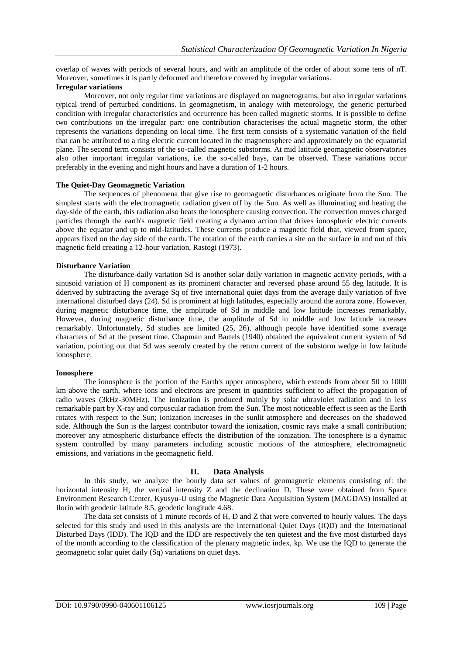overlap of waves with periods of several hours, and with an amplitude of the order of about some tens of nT. Moreover, sometimes it is partly deformed and therefore covered by irregular variations.

## **Irregular variations**

Moreover, not only regular time variations are displayed on magnetograms, but also irregular variations typical trend of perturbed conditions. In geomagnetism, in analogy with meteorology, the generic perturbed condition with irregular characteristics and occurrence has been called magnetic storms. It is possible to define two contributions on the irregular part: one contribution characterises the actual magnetic storm, the other represents the variations depending on local time. The first term consists of a systematic variation of the field that can be attributed to a ring electric current located in the magnetosphere and approximately on the equatorial plane. The second term consists of the so-called magnetic substorms. At mid latitude geomagnetic observatories also other important irregular variations, i.e. the so-called bays, can be observed. These variations occur preferably in the evening and night hours and have a duration of 1-2 hours.

#### **The Quiet-Day Geomagnetic Variation**

The sequences of phenomena that give rise to geomagnetic disturbances originate from the Sun. The simplest starts with the electromagnetic radiation given off by the Sun. As well as illuminating and heating the day-side of the earth, this radiation also heats the ionosphere causing convection. The convection moves charged particles through the earth's magnetic field creating a dynamo action that drives ionospheric electric currents above the equator and up to mid-latitudes. These currents produce a magnetic field that, viewed from space, appears fixed on the day side of the earth. The rotation of the earth carries a site on the surface in and out of this magnetic field creating a 12-hour variation, Rastogi (1973).

## **Disturbance Variation**

The disturbance-daily variation Sd is another solar daily variation in magnetic activity periods, with a sinusoid variation of H component as its prominent character and reversed phase around 55 deg latitude. It is dderived by subtracting the average Sq of five international quiet days from the average daily variation of five international disturbed days (24). Sd is prominent at high latitudes, especially around the aurora zone. However, during magnetic disturbance time, the amplitude of Sd in middle and low latitude increases remarkably. However, during magnetic disturbance time, the amplitude of Sd in middle and low latitude increases remarkably. Unfortunately, Sd studies are limited (25, 26), although people have identified some average characters of Sd at the present time. Chapman and Bartels (1940) obtained the equivalent current system of Sd variation, pointing out that Sd was seemly created by the return current of the substorm wedge in low latitude ionosphere.

#### **Ionosphere**

The ionosphere is the portion of the Earth's upper atmosphere, which extends from about 50 to 1000 km above the earth, where ions and electrons are present in quantities sufficient to affect the propagation of radio waves (3kHz-30MHz). The ionization is produced mainly by solar ultraviolet radiation and in less remarkable part by X-ray and corpuscular radiation from the Sun. The most noticeable effect is seen as the Earth rotates with respect to the Sun; ionization increases in the sunlit atmosphere and decreases on the shadowed side. Although the Sun is the largest contributor toward the ionization, cosmic rays make a small contribution; moreover any atmospheric disturbance effects the distribution of the ionization. The ionosphere is a dynamic system controlled by many parameters including acoustic motions of the atmosphere, electromagnetic emissions, and variations in the geomagnetic field.

# **II. Data Analysis**

In this study, we analyze the hourly data set values of geomagnetic elements consisting of: the horizontal intensity H, the vertical intensity Z and the declination D. These were obtained from Space Environment Research Center, Kyusyu-U using the Magnetic Data Acquisition System (MAGDAS) installed at Ilorin with geodetic latitude 8.5, geodetic longitude 4.68.

The data set consists of 1 minute records of H, D and Z that were converted to hourly values. The days selected for this study and used in this analysis are the International Quiet Days (IQD) and the International Disturbed Days (IDD). The IQD and the IDD are respectively the ten quietest and the five most disturbed days of the month according to the classification of the plenary magnetic index, kp. We use the IQD to generate the geomagnetic solar quiet daily (Sq) variations on quiet days.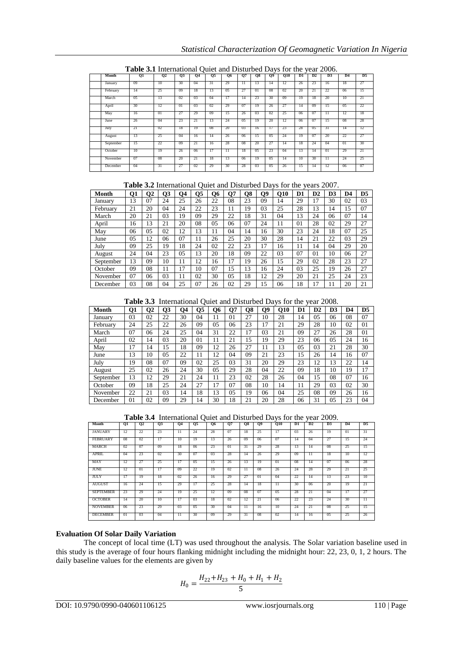|           | <b>Table 3.1</b> International Quiet and Distanced Days for the year 2000. |                      |     |                |    |           |                |                |    |            |    |    |                 |                |                |
|-----------|----------------------------------------------------------------------------|----------------------|-----|----------------|----|-----------|----------------|----------------|----|------------|----|----|-----------------|----------------|----------------|
| Month     | 01                                                                         | <b>O<sub>2</sub></b> | 03  | О4             | О5 | <b>O6</b> | $_{07}$        | O8             | 09 | <b>Q10</b> | D1 | D2 | D3              | D <sub>4</sub> | D <sub>5</sub> |
| January   | -09                                                                        | 10                   | 30  | 04             | 31 | 29        | П              | 13             | 14 | 12         | 26 | 23 | 16              | 18             | 27             |
| February  | 14                                                                         | 25                   | -09 | 18             | 13 | 05        | 27             | 01             | 08 | 02         | 20 | 21 | 22              | 06             | 15             |
| March     | 0 <sub>5</sub>                                                             | 13                   | 02  | 0 <sub>3</sub> | 04 | 17        | 14             | 23             | 30 | 09         | 19 | 18 | 20              | 10             | 21             |
| April     | 30                                                                         | 12                   | 01  | 0 <sub>3</sub> | 02 | 29        | 07             | 19             | 26 | 27         | 14 | 09 | 15              | 05             | 22             |
| May       | 16                                                                         | 01                   | 27  | 29             | 09 | 15        | 26             | 0 <sub>3</sub> | 02 | 25         | 06 | 07 | $\overline{11}$ | 12             | 18             |
| June      | 26                                                                         | 04                   | 23  | 21             | 13 | 24        | 05             | 19             | 20 | 12         | 06 | 07 | 15              | 08             | 28             |
| July      | 21                                                                         | 02                   | 18  | 19             | 08 | 20        | 0 <sub>3</sub> | 16             | 17 | 23         | 28 | 05 | 31              | 14             | 12             |
| August    | 13                                                                         | 25                   | 04  | 16             | 14 | 26        | 06             | 15             | 05 | 24         | 19 | 07 | 20              | 22             | 27             |
| September | 15                                                                         | 22                   | 09  | 21             | 16 | 28        | 08             | 20             | 27 | 14         | 18 | 24 | 04              | 01             | 30             |
| October   | 10                                                                         | 19                   | 26  | 06             | 17 | Π         | 18             | 05             | 23 | 04         | 13 | 14 | $^{01}$         | 29             | 21             |
| November  | -07                                                                        | -08                  | 20  | 21             | 18 | 13        | 06             | 19             | 05 | 14         | 10 | 30 | π               | 24             | 25             |
| December  | 04                                                                         | 31                   | 27  | 02             | 29 | 30        | 28             | 0 <sub>3</sub> | 05 | 26         | 15 | 14 | 12              | 06             | 07             |

| Table 3.1 International Quiet and Disturbed Days for the year 2006. |  |  |
|---------------------------------------------------------------------|--|--|
|                                                                     |  |  |

|  |  | Table 3.2 International Quiet and Disturbed Days for the years 2007. |  |
|--|--|----------------------------------------------------------------------|--|
|--|--|----------------------------------------------------------------------|--|

| . .          |    |    |    |                |    |                |    |    |    |            |    |    |    |    |                |
|--------------|----|----|----|----------------|----|----------------|----|----|----|------------|----|----|----|----|----------------|
| <b>Month</b> | Q1 | Ο2 | О3 | Q <sub>4</sub> | Q5 | Q <sub>6</sub> | О7 | Q8 | Q9 | <b>O10</b> | D1 | D2 | D3 | D4 | D <sub>5</sub> |
| Januarv      | 13 | 07 | 24 | 25             | 26 | 22             | 08 | 23 | 09 | 14         | 29 | 17 | 30 | 02 | 03             |
| February     | 21 | 20 | 04 | 24             | 22 | 23             | 11 | 19 | 03 | 25         | 28 | 13 | 14 | 15 | 07             |
| March        | 20 | 21 | 03 | 19             | 09 | 29             | 22 | 18 | 31 | 04         | 13 | 24 | 06 | 07 | 14             |
| April        | 16 | 13 | 21 | 20             | 08 | 05             | 06 | 07 | 24 | 11         | 01 | 28 | 02 | 29 | 27             |
| May          | 06 | 05 | 02 | 12             | 13 | 11             | 04 | 14 | 16 | 30         | 23 | 24 | 18 | 07 | 25             |
| June         | 05 | 12 | 06 | 07             | 11 | 26             | 25 | 20 | 30 | 28         | 14 | 21 | 22 | 03 | 29             |
| Julv         | 09 | 25 | 19 | 18             | 24 | 02             | 22 | 23 | 17 | 16         | 11 | 14 | 04 | 29 | 20             |
| August       | 24 | 04 | 23 | 05             | 13 | 20             | 18 | 09 | 22 | 03         | 07 | 01 | 10 | 06 | 27             |
| September    | 13 | 09 | 10 | 11             | 12 | 16             | 17 | 19 | 26 | 15         | 29 | 02 | 28 | 23 | 27             |
| October      | 09 | 08 | 11 | 17             | 10 | 07             | 15 | 13 | 16 | 24         | 03 | 25 | 19 | 26 | 27             |
| November     | 07 | 06 | 03 | 11             | 02 | 30             | 05 | 18 | 12 | 29         | 20 | 21 | 25 | 24 | 23             |
| December     | 03 | 08 | 04 | 25             | 07 | 26             | 02 | 29 | 15 | 06         | 18 | 17 | 11 | 20 | 21             |

| Table 3.3 International Quiet and Disturbed Days for the year 2008. |  |  |  |
|---------------------------------------------------------------------|--|--|--|
|                                                                     |  |  |  |

| 1 avit J.J<br>International Outer and Distanced Days for the<br>vear zuud. |                |    |    |    |    |    |    |    |    |            |    |    |                |    |    |
|----------------------------------------------------------------------------|----------------|----|----|----|----|----|----|----|----|------------|----|----|----------------|----|----|
| Month                                                                      | $\mathbf{Q}$ 1 | Q2 | Q3 | О4 | Q5 | Q6 | Q7 | Q8 | О9 | <b>O10</b> | D1 | D2 | D <sub>3</sub> | D4 | D5 |
| Januarv                                                                    | 03             | 02 | 22 | 30 | 04 | 11 | 01 | 27 | 10 | 28         | 14 | 05 | 06             | 08 | 07 |
| February                                                                   | 24             | 25 | 22 | 26 | 09 | 05 | 06 | 23 | 17 | 21         | 29 | 28 | 10             | 02 | 01 |
| March                                                                      | 07             | 06 | 24 | 25 | 04 | 31 | 22 | 17 | 03 | 21         | 09 | 27 | 26             | 28 | 01 |
| April                                                                      | 02             | 14 | 03 | 20 | 01 | 11 | 21 | 15 | 19 | 29         | 23 | 06 | 05             | 24 | 16 |
| May                                                                        | 17             | 14 | 15 | 18 | 09 | 12 | 26 | 27 | 11 | 13         | 05 | 03 | 21             | 28 | 30 |
| June                                                                       | 13             | 10 | 05 | 22 | 11 | 12 | 04 | 09 | 21 | 23         | 15 | 26 | 14             | 16 | 07 |
| July                                                                       | 19             | 08 | 07 | 09 | 02 | 25 | 03 | 31 | 20 | 29         | 23 | 12 | 13             | 22 | 14 |
| August                                                                     | 25             | 02 | 26 | 24 | 30 | 05 | 29 | 28 | 04 | 22         | 09 | 18 | 10             | 19 | 17 |
| September                                                                  | 13             | 12 | 29 | 21 | 24 | 11 | 23 | 02 | 28 | 26         | 04 | 15 | 08             | 07 | 16 |
| October                                                                    | 09             | 18 | 25 | 24 | 27 | 17 | 07 | 08 | 10 | 14         | 11 | 29 | 03             | 02 | 30 |
| November                                                                   | 22             | 21 | 03 | 14 | 18 | 13 | 05 | 19 | 06 | 04         | 25 | 08 | 09             | 26 | 16 |
| December                                                                   | 01             | 02 | 09 | 29 | 14 | 30 | 18 | 21 | 20 | 28         | 06 | 31 | 05             | 23 | 04 |

**Table 3.4** International Quiet and Disturbed Days for the year 2009.

| --<br>.<br>---<br>. |    |                |         |                |                |    |          |                 |                 |                 |                |    |                 |                 |                 |
|---------------------|----|----------------|---------|----------------|----------------|----|----------|-----------------|-----------------|-----------------|----------------|----|-----------------|-----------------|-----------------|
| Month               | 01 | 02             | $_{03}$ | 04             | Ο5             | Q6 | 07       | O <sub>8</sub>  | $_{09}$         | <b>Q10</b>      | D <sub>1</sub> | D2 | D <sub>3</sub>  | $\overline{D4}$ | D <sub>5</sub>  |
| <b>JANUARY</b>      | 12 | 22             | 23      | 11             | 24             | 28 | 07       | 18              | 25              | 17              | 0 <sub>3</sub> | 26 | 19              | $\overline{01}$ | 31              |
| <b>FEBRUARY</b>     | 08 | 02             | 17      | 10             | 19             | 13 | 26       | 09              | -06             | 07              | 14             | 04 | 27              | 15              | 24              |
| MARCH               | 02 | -07            | 09      | 18             | -06            | 23 | $^{01}$  | 31              | 29              | 28              | 13             | 14 | 08              | 25              | -15             |
| APRIL               | 04 | 23             | 02      | 30             | -07            | 03 | 28       | 14              | 26              | 29              | -09            | П  | 18              | 10              | -12             |
| MAY                 | 12 | 27             | 25      | 17             | -05            | 15 | 26       | 13              | 19              | $_{01}$         | 08             | 14 | -07             | -06             | 28              |
| JUNE                | 12 | $_{01}$        | 17      | 09             | 22             | 19 | $_{02}$  | 11              | -08             | 26              | 24             | 28 | 29              | 21              | 25              |
| JULY                | 17 | 19             | 18      | 02             | 26             | 16 | 29       | 27              | $\overline{01}$ | 04              | 22             | 14 | $\overline{13}$ | 23              | 10              |
| <b>AUGUST</b>       | 16 | 24             | 15      | 29             | 17             | 25 | 28       | 14              | 18              | $\overline{11}$ | $30^{\circ}$   | 06 | 20              | 19              | 21              |
| <b>SEPTEMBER</b>    | 23 | 29             | 24      | 19             | 25             | 12 | $^{09}$  | 08              | 07              | 05              | 28             | 21 | 04              | 17              | 27              |
| <b>OCTOBER</b>      | 14 | 20             | 10      | 17             | 0 <sub>3</sub> | 18 | 02       | 12              | 21              | 06              | 22             | 23 | 24              | 30              | $\overline{11}$ |
| <b>NOVEMBER</b>     | 06 | 23             | 29      | 0 <sub>3</sub> | 05             | 30 | $\Omega$ | $\overline{11}$ | 16              | 10              | 24             | 21 | 08              | 25              | 15              |
| <b>DECEMBER</b>     | 01 | 0 <sub>3</sub> | 04      | 11             | $30^{\circ}$   | 09 | 29       | 31              | 08              | 02              | 14             | 16 | 05              | 25              | 26              |

## **Evaluation Of Solar Daily Variation**

The concept of local time (LT) was used throughout the analysis. The Solar variation baseline used in this study is the average of four hours flanking midnight including the midnight hour: 22, 23, 0, 1, 2 hours. The daily baseline values for the elements are given by

$$
H_0 = \frac{H_{22} + H_{23} + H_0 + H_1 + H_2}{5}
$$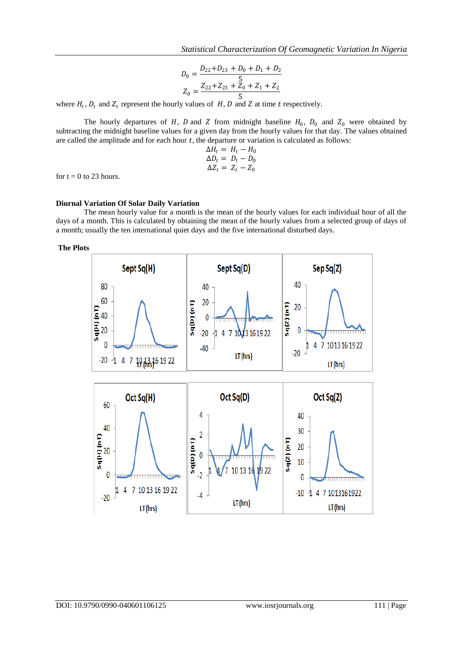$$
D_0 = \frac{D_{22} + D_{23} + D_0 + D_1 + D_2}{5}
$$
  

$$
Z_0 = \frac{Z_{22} + Z_{23} + Z_0 + Z_1 + Z_2}{5}
$$

where  $H_t$ ,  $D_t$  and  $Z_t$  represent the hourly values of  $H$ ,  $D$  and  $Z$  at time  $t$  respectively.

The hourly departures of H, D and Z from midnight baseline  $H_0$ ,  $D_0$  and  $Z_0$  were obtained by subtracting the midnight baseline values for a given day from the hourly values for that day. The values obtained are called the amplitude and for each hour  $t$ , the departure or variation is calculated as follows:

$$
\Delta H_t = H_t - H_0
$$
  
\n
$$
\Delta D_t = D_t - D_0
$$
  
\n
$$
\Delta Z_t = Z_t - Z_0
$$

for  $t = 0$  to 23 hours.

#### **Diurnal Variation Of Solar Daily Variation**

The mean hourly value for a month is the mean of the hourly values for each individual hour of all the days of a month. This is calculated by obtaining the mean of the hourly values from a selected group of days of a month; usually the ten international quiet days and the five international disturbed days.

**The Plots**

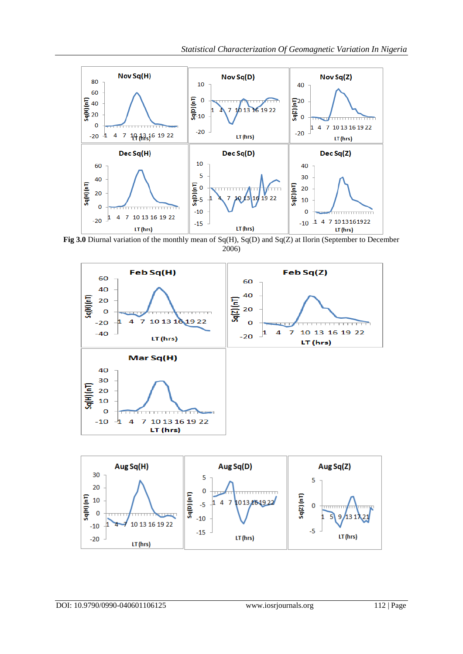

**Fig 3.0** Diurnal variation of the monthly mean of Sq(H), Sq(D) and Sq(Z) at Ilorin (September to December 2006)

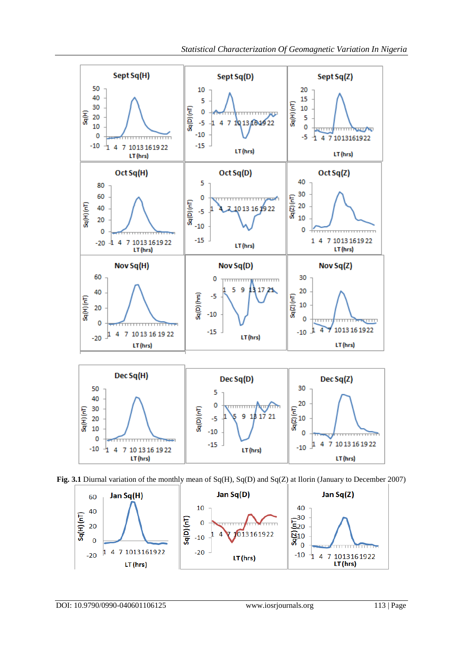

**Fig. 3.1** Diurnal variation of the monthly mean of Sq(H), Sq(D) and Sq(Z) at Ilorin (January to December 2007)

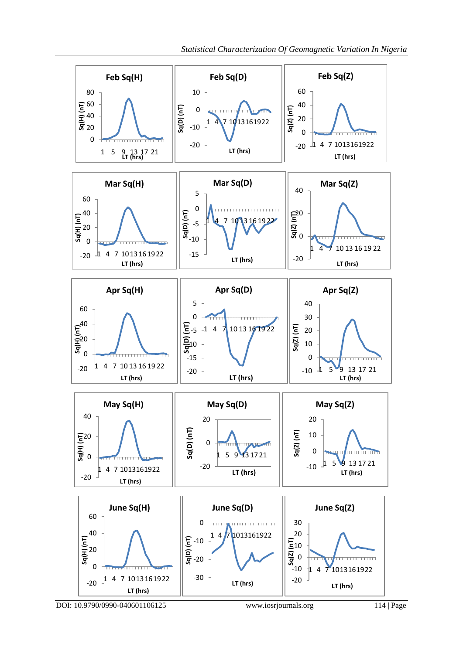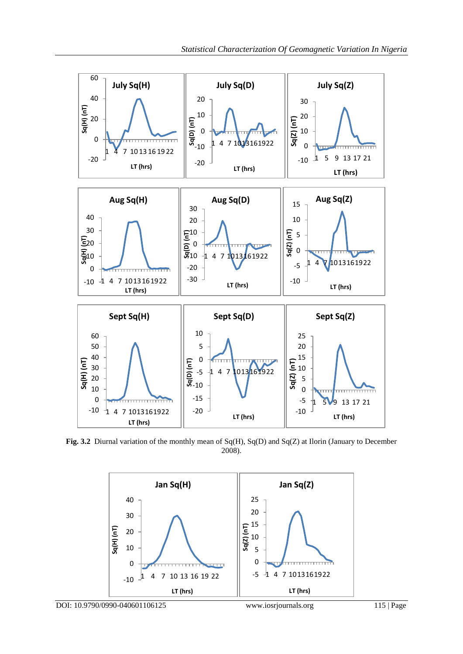![](_page_9_Figure_1.jpeg)

**Fig. 3.2** Diurnal variation of the monthly mean of Sq(H), Sq(D) and Sq(Z) at Ilorin (January to December 2008).

![](_page_9_Figure_3.jpeg)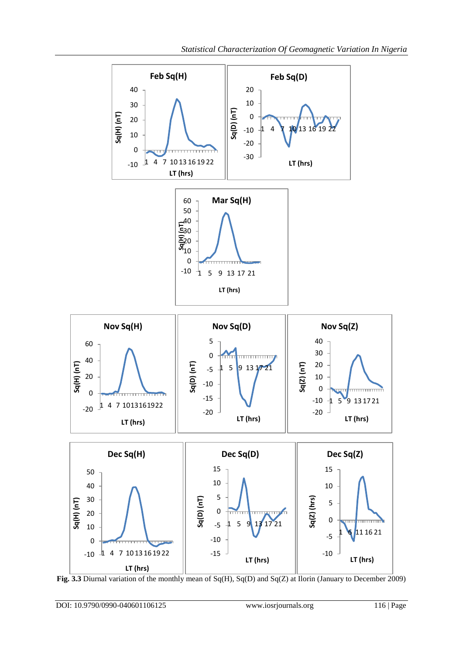![](_page_10_Figure_1.jpeg)

**Fig. 3.3** Diurnal variation of the monthly mean of Sq(H), Sq(D) and Sq(Z) at Ilorin (January to December 2009)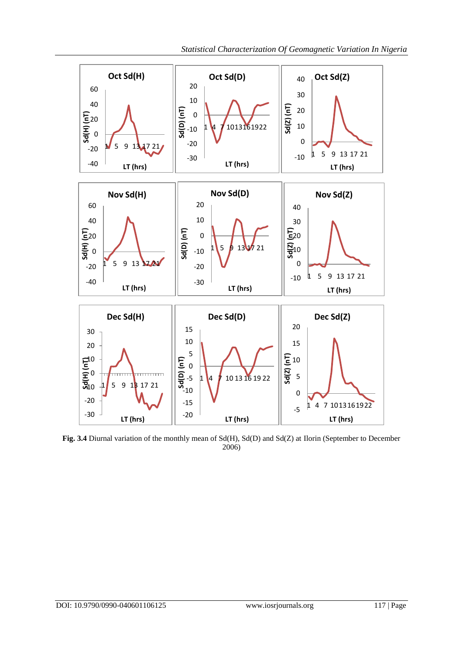![](_page_11_Figure_1.jpeg)

**Fig. 3.4** Diurnal variation of the monthly mean of Sd(H), Sd(D) and Sd(Z) at Ilorin (September to December 2006)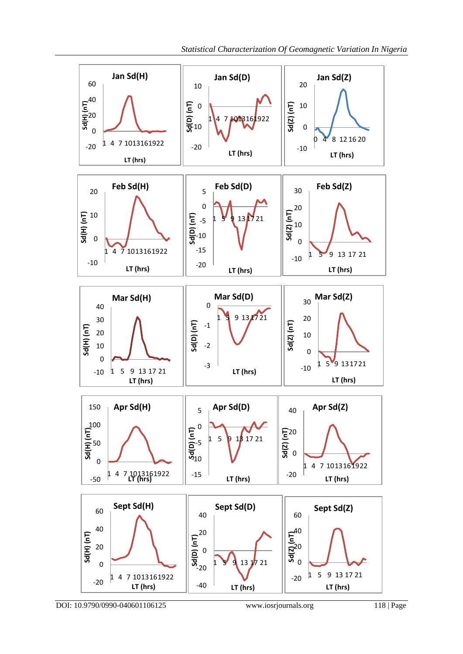![](_page_12_Figure_1.jpeg)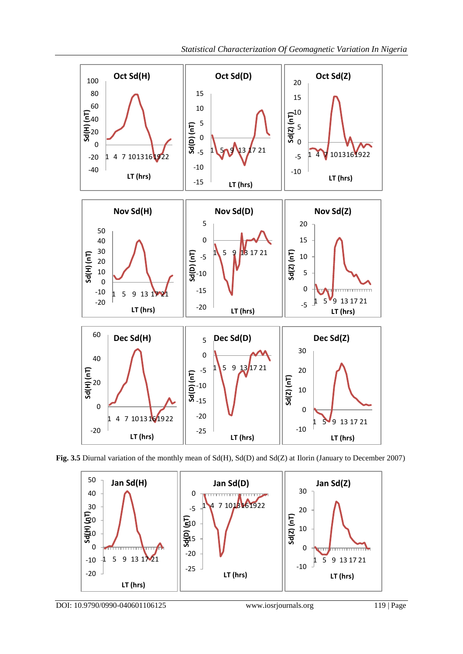![](_page_13_Figure_1.jpeg)

**Fig. 3.5** Diurnal variation of the monthly mean of Sd(H), Sd(D) and Sd(Z) at Ilorin (January to December 2007)

![](_page_13_Figure_3.jpeg)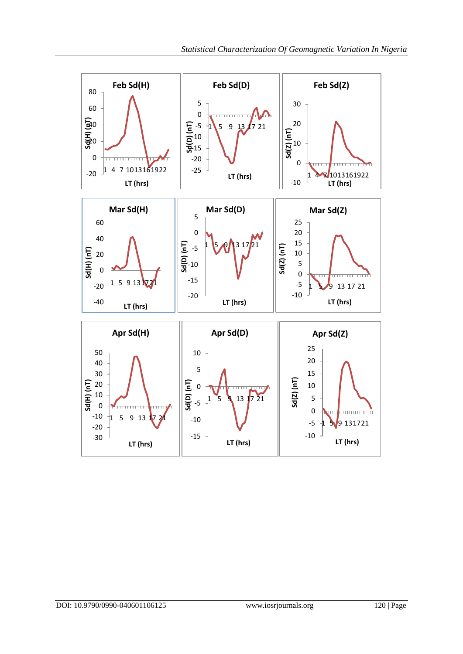![](_page_14_Figure_1.jpeg)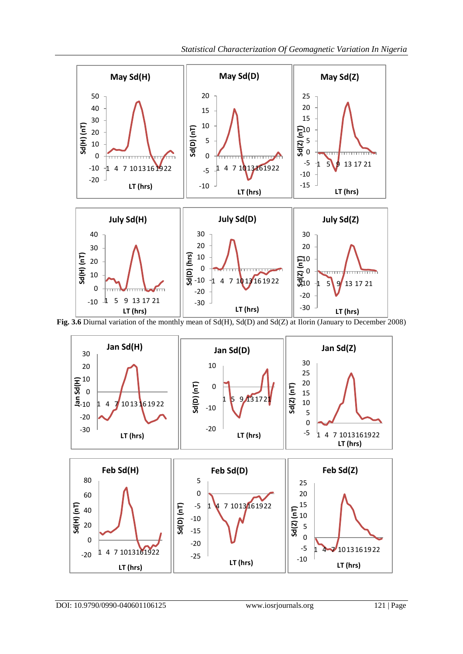![](_page_15_Figure_1.jpeg)

**Fig. 3.6** Diurnal variation of the monthly mean of Sd(H), Sd(D) and Sd(Z) at Ilorin (January to December 2008)

![](_page_15_Figure_3.jpeg)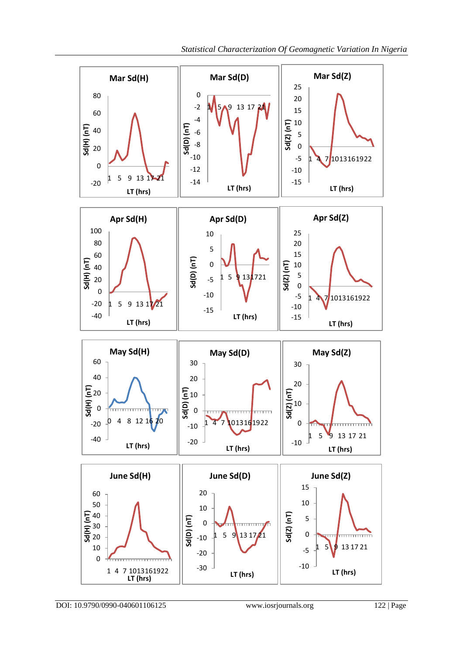![](_page_16_Figure_1.jpeg)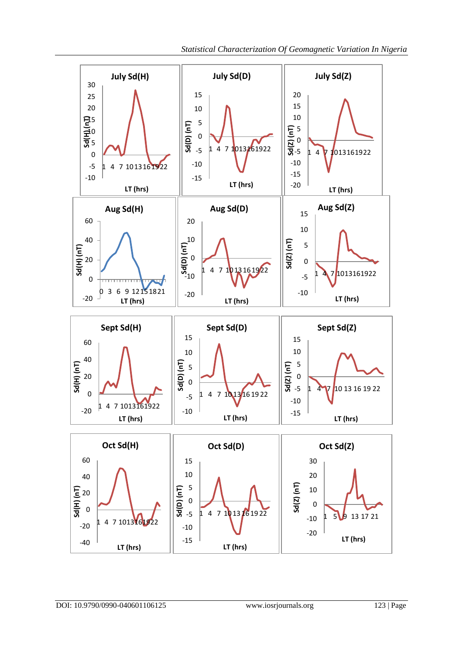![](_page_17_Figure_1.jpeg)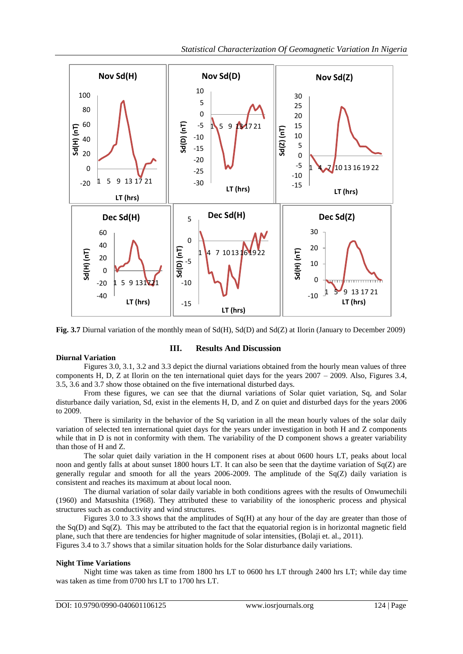![](_page_18_Figure_1.jpeg)

**Fig. 3.7** Diurnal variation of the monthly mean of Sd(H), Sd(D) and Sd(Z) at Ilorin (January to December 2009)

#### **Diurnal Variation**

# **III. Results And Discussion**

Figures 3.0, 3.1, 3.2 and 3.3 depict the diurnal variations obtained from the hourly mean values of three components H, D, Z at Ilorin on the ten international quiet days for the years  $2007 - 2009$ . Also, Figures 3.4, 3.5, 3.6 and 3.7 show those obtained on the five international disturbed days.

From these figures, we can see that the diurnal variations of Solar quiet variation, Sq, and Solar disturbance daily variation, Sd, exist in the elements H, D, and Z on quiet and disturbed days for the years 2006 to 2009.

There is similarity in the behavior of the Sq variation in all the mean hourly values of the solar daily variation of selected ten international quiet days for the years under investigation in both H and Z components while that in D is not in conformity with them. The variability of the D component shows a greater variability than those of H and Z.

The solar quiet daily variation in the H component rises at about 0600 hours LT, peaks about local noon and gently falls at about sunset 1800 hours LT. It can also be seen that the daytime variation of Sq(Z) are generally regular and smooth for all the years 2006-2009. The amplitude of the  $Sq(Z)$  daily variation is consistent and reaches its maximum at about local noon.

The diurnal variation of solar daily variable in both conditions agrees with the results of Onwumechili (1960) and Matsushita (1968). They attributed these to variability of the ionospheric process and physical structures such as conductivity and wind structures.

Figures 3.0 to 3.3 shows that the amplitudes of  $Sq(H)$  at any hour of the day are greater than those of the  $Sq(D)$  and  $Sq(Z)$ . This may be attributed to the fact that the equatorial region is in horizontal magnetic field plane, such that there are tendencies for higher magnitude of solar intensities, (Bolaji et. al., 2011). Figures 3.4 to 3.7 shows that a similar situation holds for the Solar disturbance daily variations.

#### **Night Time Variations**

Night time was taken as time from 1800 hrs LT to 0600 hrs LT through 2400 hrs LT; while day time was taken as time from 0700 hrs LT to 1700 hrs LT.